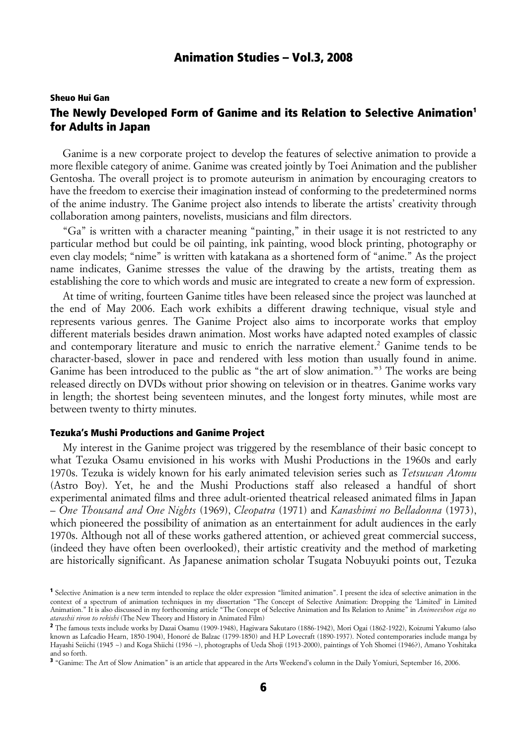# Sheuo Hui Gan The Newly Developed Form of Ganime and its Relation to Selective Animation<sup>1</sup> for Adults in Japan

Ganime is a new corporate project to develop the features of selective animation to provide a more flexible category of anime. Ganime was created jointly by Toei Animation and the publisher Gentosha. The overall project is to promote auteurism in animation by encouraging creators to have the freedom to exercise their imagination instead of conforming to the predetermined norms of the anime industry. The Ganime project also intends to liberate the artists' creativity through collaboration among painters, novelists, musicians and film directors.

"Ga" is written with a character meaning "painting," in their usage it is not restricted to any particular method but could be oil painting, ink painting, wood block printing, photography or even clay models; "nime" is written with katakana as a shortened form of "anime." As the project name indicates, Ganime stresses the value of the drawing by the artists, treating them as establishing the core to which words and music are integrated to create a new form of expression.

At time of writing, fourteen Ganime titles have been released since the project was launched at the end of May 2006. Each work exhibits a different drawing technique, visual style and represents various genres. The Ganime Project also aims to incorporate works that employ different materials besides drawn animation. Most works have adapted noted examples of classic and contemporary literature and music to enrich the narrative element.<sup>2</sup> Ganime tends to be character-based, slower in pace and rendered with less motion than usually found in anime. Ganime has been introduced to the public as "the art of slow animation."<sup>3</sup> The works are being released directly on DVDs without prior showing on television or in theatres. Ganime works vary in length; the shortest being seventeen minutes, and the longest forty minutes, while most are between twenty to thirty minutes.

### Tezuka's Mushi Productions and Ganime Project

My interest in the Ganime project was triggered by the resemblance of their basic concept to what Tezuka Osamu envisioned in his works with Mushi Productions in the 1960s and early 1970s. Tezuka is widely known for his early animated television series such as *Tetsuwan Atomu* (Astro Boy). Yet, he and the Mushi Productions staff also released a handful of short experimental animated films and three adult-oriented theatrical released animated films in Japan – *One Thousand and One Nights* (1969), *Cleopatra* (1971) and *Kanashimi no Belladonna* (1973), which pioneered the possibility of animation as an entertainment for adult audiences in the early 1970s. Although not all of these works gathered attention, or achieved great commercial success, (indeed they have often been overlooked), their artistic creativity and the method of marketing are historically significant. As Japanese animation scholar Tsugata Nobuyuki points out, Tezuka

<sup>1</sup> Selective Animation is a new term intended to replace the older expression "limited animation". I present the idea of selective animation in the context of a spectrum of animation techniques in my dissertation "The Concept of Selective Animation: Dropping the 'Limited' in Limited Animation." It is also discussed in my forthcoming article "The Concept of Selective Animation and Its Relation to Anime" in *Animeeshon eiga no atarashii riron to rekishi* (The New Theory and History in Animated Film)

<sup>2</sup> The famous texts include works by Dazai Osamu (1909-1948), Hagiwara Sakutaro (1886-1942), Mori Ogai (1862-1922), Koizumi Yakumo (also known as Lafcadio Hearn, 1850-1904), Honoré de Balzac (1799-1850) and H.P Lovecraft (1890-1937). Noted contemporaries include manga by Hayashi Seiichi (1945 ~) and Koga Shiichi (1936 ~), photographs of Ueda Shoji (1913-2000), paintings of Yoh Shomei (1946?), Amano Yoshitaka and so forth.

<sup>&</sup>lt;sup>3</sup> "Ganime: The Art of Slow Animation" is an article that appeared in the Arts Weekend's column in the Daily Yomiuri, September 16, 2006.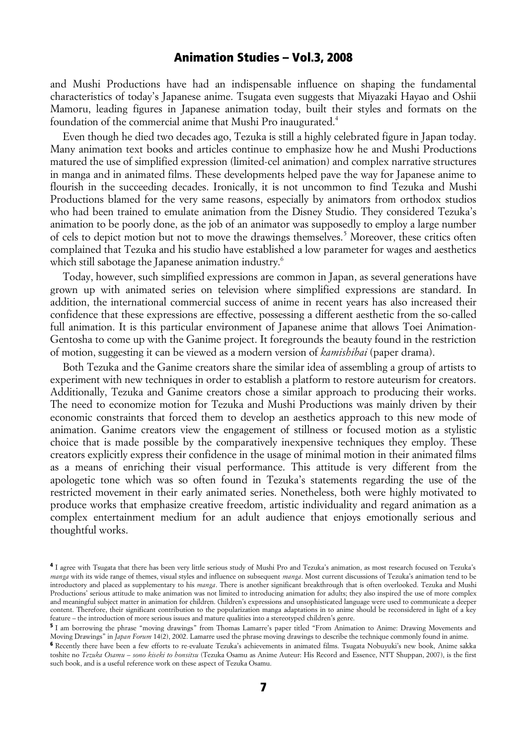and Mushi Productions have had an indispensable influence on shaping the fundamental characteristics of today's Japanese anime. Tsugata even suggests that Miyazaki Hayao and Oshii Mamoru, leading figures in Japanese animation today, built their styles and formats on the foundation of the commercial anime that Mushi Pro inaugurated.4

Even though he died two decades ago, Tezuka is still a highly celebrated figure in Japan today. Many animation text books and articles continue to emphasize how he and Mushi Productions matured the use of simplified expression (limited-cel animation) and complex narrative structures in manga and in animated films. These developments helped pave the way for Japanese anime to flourish in the succeeding decades. Ironically, it is not uncommon to find Tezuka and Mushi Productions blamed for the very same reasons, especially by animators from orthodox studios who had been trained to emulate animation from the Disney Studio. They considered Tezuka's animation to be poorly done, as the job of an animator was supposedly to employ a large number of cels to depict motion but not to move the drawings themselves.<sup>5</sup> Moreover, these critics often complained that Tezuka and his studio have established a low parameter for wages and aesthetics which still sabotage the Japanese animation industry.<sup>6</sup>

Today, however, such simplified expressions are common in Japan, as several generations have grown up with animated series on television where simplified expressions are standard. In addition, the international commercial success of anime in recent years has also increased their confidence that these expressions are effective, possessing a different aesthetic from the so-called full animation. It is this particular environment of Japanese anime that allows Toei Animation-Gentosha to come up with the Ganime project. It foregrounds the beauty found in the restriction of motion, suggesting it can be viewed as a modern version of *kamishibai* (paper drama).

Both Tezuka and the Ganime creators share the similar idea of assembling a group of artists to experiment with new techniques in order to establish a platform to restore auteurism for creators. Additionally, Tezuka and Ganime creators chose a similar approach to producing their works. The need to economize motion for Tezuka and Mushi Productions was mainly driven by their economic constraints that forced them to develop an aesthetics approach to this new mode of animation. Ganime creators view the engagement of stillness or focused motion as a stylistic choice that is made possible by the comparatively inexpensive techniques they employ. These creators explicitly express their confidence in the usage of minimal motion in their animated films as a means of enriching their visual performance. This attitude is very different from the apologetic tone which was so often found in Tezuka's statements regarding the use of the restricted movement in their early animated series. Nonetheless, both were highly motivated to produce works that emphasize creative freedom, artistic individuality and regard animation as a complex entertainment medium for an adult audience that enjoys emotionally serious and thoughtful works.

<sup>4</sup> I agree with Tsugata that there has been very little serious study of Mushi Pro and Tezuka's animation, as most research focused on Tezuka's *manga* with its wide range of themes, visual styles and influence on subsequent *manga*. Most current discussions of Tezuka's animation tend to be introductory and placed as supplementary to his *manga*. There is another significant breakthrough that is often overlooked. Tezuka and Mushi Productions' serious attitude to make animation was not limited to introducing animation for adults; they also inspired the use of more complex and meaningful subject matter in animation for children. Children's expressions and unsophisticated language were used to communicate a deeper content. Therefore, their significant contribution to the popularization manga adaptations in to anime should be reconsidered in light of a key feature – the introduction of more serious issues and mature qualities into a stereotyped children's genre.

<sup>5</sup> I am borrowing the phrase "moving drawings" from Thomas Lamarre's paper titled "From Animation to Anime: Drawing Movements and Moving Drawings" in *Japan Forum* 14(2), 2002. Lamarre used the phrase moving drawings to describe the technique commonly found in anime.

<sup>6</sup> Recently there have been a few efforts to re-evaluate Tezuka's achievements in animated films. Tsugata Nobuyuki's new book, Anime sakka toshite no *Tezuka Osamu – sono kiseki to honsitsu* (Tezuka Osamu as Anime Auteur: His Record and Essence, NTT Shuppan, 2007), is the first such book, and is a useful reference work on these aspect of Tezuka Osamu.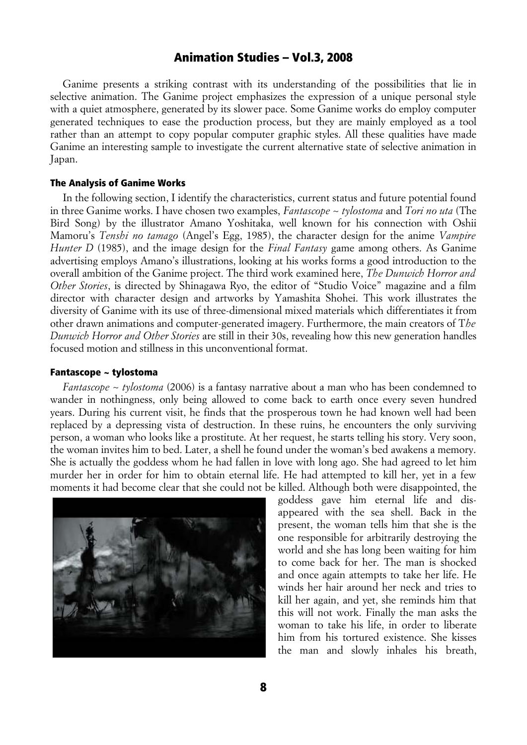Ganime presents a striking contrast with its understanding of the possibilities that lie in selective animation. The Ganime project emphasizes the expression of a unique personal style with a quiet atmosphere, generated by its slower pace. Some Ganime works do employ computer generated techniques to ease the production process, but they are mainly employed as a tool rather than an attempt to copy popular computer graphic styles. All these qualities have made Ganime an interesting sample to investigate the current alternative state of selective animation in Japan.

#### The Analysis of Ganime Works

In the following section, I identify the characteristics, current status and future potential found in three Ganime works. I have chosen two examples, *Fantascope ~ tylostoma* and *Tori no uta* (The Bird Song) by the illustrator Amano Yoshitaka, well known for his connection with Oshii Mamoru's *Tenshi no tamago* (Angel's Egg, 1985), the character design for the anime *Vampire Hunter D* (1985), and the image design for the *Final Fantasy* game among others. As Ganime advertising employs Amano's illustrations, looking at his works forms a good introduction to the overall ambition of the Ganime project. The third work examined here, *The Dunwich Horror and Other Stories*, is directed by Shinagawa Ryo, the editor of "Studio Voice" magazine and a film director with character design and artworks by Yamashita Shohei. This work illustrates the diversity of Ganime with its use of three-dimensional mixed materials which differentiates it from other drawn animations and computer-generated imagery. Furthermore, the main creators of T*he Dunwich Horror and Other Stories* are still in their 30s, revealing how this new generation handles focused motion and stillness in this unconventional format.

### Fantascope ~ tylostoma

*Fantascope ~ tylostoma* (2006) is a fantasy narrative about a man who has been condemned to wander in nothingness, only being allowed to come back to earth once every seven hundred years. During his current visit, he finds that the prosperous town he had known well had been replaced by a depressing vista of destruction. In these ruins, he encounters the only surviving person, a woman who looks like a prostitute. At her request, he starts telling his story. Very soon, the woman invites him to bed. Later, a shell he found under the woman's bed awakens a memory. She is actually the goddess whom he had fallen in love with long ago. She had agreed to let him murder her in order for him to obtain eternal life. He had attempted to kill her, yet in a few moments it had become clear that she could not be killed. Although both were disappointed, the



goddess gave him eternal life and disappeared with the sea shell. Back in the present, the woman tells him that she is the one responsible for arbitrarily destroying the world and she has long been waiting for him to come back for her. The man is shocked and once again attempts to take her life. He winds her hair around her neck and tries to kill her again, and yet, she reminds him that this will not work. Finally the man asks the woman to take his life, in order to liberate him from his tortured existence. She kisses the man and slowly inhales his breath,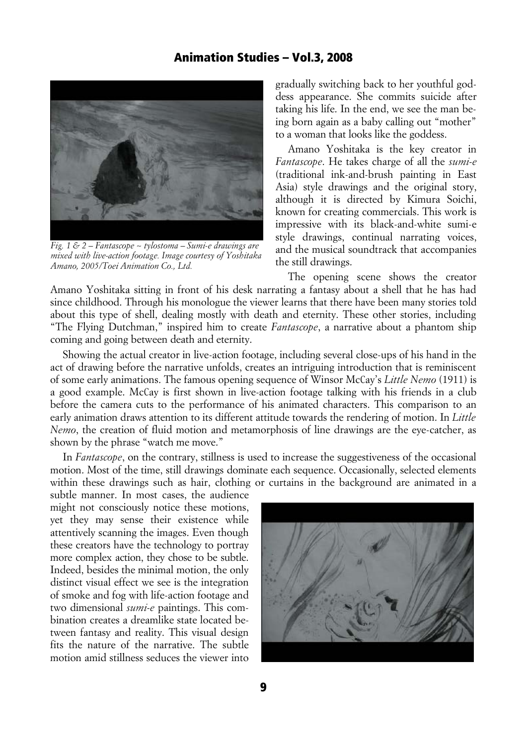

*Fig. 1 & 2 – Fantascope ~ tylostoma – Sumi-e drawings are mixed with live-action footage. Image courtesy of Yoshitaka Amano, 2005/Toei Animation Co., Ltd.*

gradually switching back to her youthful goddess appearance. She commits suicide after taking his life. In the end, we see the man being born again as a baby calling out "mother" to a woman that looks like the goddess.

Amano Yoshitaka is the key creator in *Fantascope*. He takes charge of all the *sumi-e* (traditional ink-and-brush painting in East Asia) style drawings and the original story, although it is directed by Kimura Soichi, known for creating commercials. This work is impressive with its black-and-white sumi-e style drawings, continual narrating voices, and the musical soundtrack that accompanies the still drawings.

The opening scene shows the creator Amano Yoshitaka sitting in front of his desk narrating a fantasy about a shell that he has had since childhood. Through his monologue the viewer learns that there have been many stories told about this type of shell, dealing mostly with death and eternity. These other stories, including "The Flying Dutchman," inspired him to create *Fantascope*, a narrative about a phantom ship coming and going between death and eternity.

Showing the actual creator in live-action footage, including several close-ups of his hand in the act of drawing before the narrative unfolds, creates an intriguing introduction that is reminiscent of some early animations. The famous opening sequence of Winsor McCay's *Little Nemo* (1911) is a good example. McCay is first shown in live-action footage talking with his friends in a club before the camera cuts to the performance of his animated characters. This comparison to an early animation draws attention to its different attitude towards the rendering of motion. In *Little Nemo*, the creation of fluid motion and metamorphosis of line drawings are the eye-catcher, as shown by the phrase "watch me move."

In *Fantascope*, on the contrary, stillness is used to increase the suggestiveness of the occasional motion. Most of the time, still drawings dominate each sequence. Occasionally, selected elements within these drawings such as hair, clothing or curtains in the background are animated in a

subtle manner. In most cases, the audience might not consciously notice these motions, yet they may sense their existence while attentively scanning the images. Even though these creators have the technology to portray more complex action, they chose to be subtle. Indeed, besides the minimal motion, the only distinct visual effect we see is the integration of smoke and fog with life-action footage and two dimensional *sumi-e* paintings. This combination creates a dreamlike state located between fantasy and reality. This visual design fits the nature of the narrative. The subtle motion amid stillness seduces the viewer into



9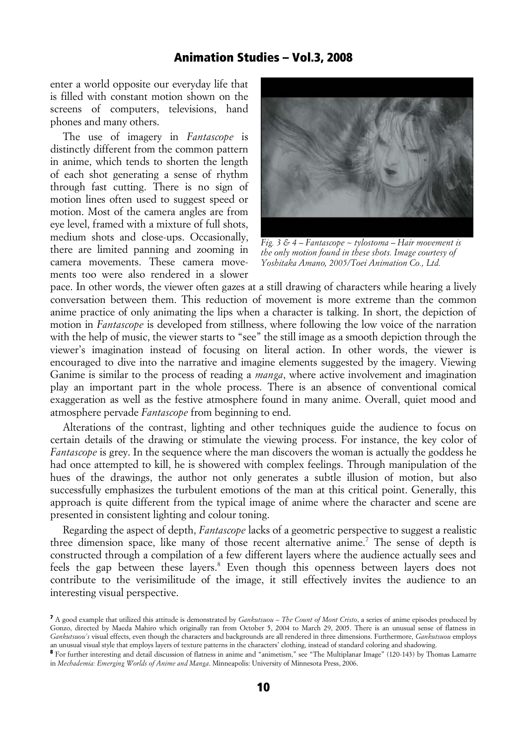enter a world opposite our everyday life that is filled with constant motion shown on the screens of computers, televisions, hand phones and many others.

The use of imagery in *Fantascope* is distinctly different from the common pattern in anime, which tends to shorten the length of each shot generating a sense of rhythm through fast cutting. There is no sign of motion lines often used to suggest speed or motion. Most of the camera angles are from eye level, framed with a mixture of full shots, medium shots and close-ups. Occasionally, there are limited panning and zooming in camera movements. These camera movements too were also rendered in a slower



*Fig. 3 & 4 – Fantascope ~ tylostoma – Hair movement is the only motion found in these shots. Image courtesy of Yoshitaka Amano, 2005/Toei Animation Co., Ltd.*

pace. In other words, the viewer often gazes at a still drawing of characters while hearing a lively conversation between them. This reduction of movement is more extreme than the common anime practice of only animating the lips when a character is talking. In short, the depiction of motion in *Fantascope* is developed from stillness, where following the low voice of the narration with the help of music, the viewer starts to "see" the still image as a smooth depiction through the viewer's imagination instead of focusing on literal action. In other words, the viewer is encouraged to dive into the narrative and imagine elements suggested by the imagery. Viewing Ganime is similar to the process of reading a *manga*, where active involvement and imagination play an important part in the whole process. There is an absence of conventional comical exaggeration as well as the festive atmosphere found in many anime. Overall, quiet mood and atmosphere pervade *Fantascope* from beginning to end.

Alterations of the contrast, lighting and other techniques guide the audience to focus on certain details of the drawing or stimulate the viewing process. For instance, the key color of *Fantascope* is grey. In the sequence where the man discovers the woman is actually the goddess he had once attempted to kill, he is showered with complex feelings. Through manipulation of the hues of the drawings, the author not only generates a subtle illusion of motion, but also successfully emphasizes the turbulent emotions of the man at this critical point. Generally, this approach is quite different from the typical image of anime where the character and scene are presented in consistent lighting and colour toning.

Regarding the aspect of depth, *Fantascope* lacks of a geometric perspective to suggest a realistic three dimension space, like many of those recent alternative anime.<sup>7</sup> The sense of depth is constructed through a compilation of a few different layers where the audience actually sees and feels the gap between these layers.<sup>8</sup> Even though this openness between layers does not contribute to the verisimilitude of the image, it still effectively invites the audience to an interesting visual perspective.

<sup>7</sup> A good example that utilized this attitude is demonstrated by *Gankutsuou – The Count of Mont Cristo*, a series of anime episodes produced by Gonzo, directed by Maeda Mahiro which originally ran from October 5, 2004 to March 29, 2005. There is an unusual sense of flatness in *Gankutsuou's* visual effects, even though the characters and backgrounds are all rendered in three dimensions. Furthermore, *Gankutsuou* employs an unusual visual style that employs layers of texture patterns in the characters' clothing, instead of standard coloring and shadowing.

<sup>8</sup> For further interesting and detail discussion of flatness in anime and "animetism," see "The Multiplanar Image" (120-143) by Thomas Lamarre in *Mechademia: Emerging Worlds of Anime and Manga*. Minneapolis: University of Minnesota Press, 2006.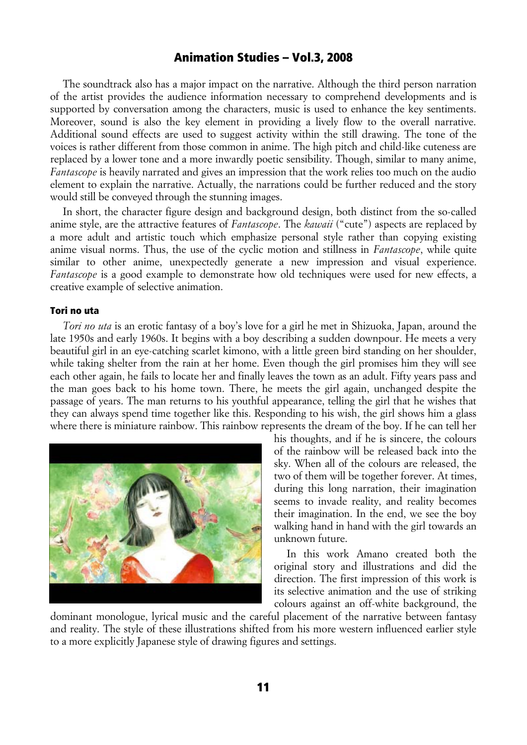The soundtrack also has a major impact on the narrative. Although the third person narration of the artist provides the audience information necessary to comprehend developments and is supported by conversation among the characters, music is used to enhance the key sentiments. Moreover, sound is also the key element in providing a lively flow to the overall narrative. Additional sound effects are used to suggest activity within the still drawing. The tone of the voices is rather different from those common in anime. The high pitch and child-like cuteness are replaced by a lower tone and a more inwardly poetic sensibility. Though, similar to many anime, *Fantascope* is heavily narrated and gives an impression that the work relies too much on the audio element to explain the narrative. Actually, the narrations could be further reduced and the story would still be conveyed through the stunning images.

In short, the character figure design and background design, both distinct from the so-called anime style, are the attractive features of *Fantascope*. The *kawaii* ("cute") aspects are replaced by a more adult and artistic touch which emphasize personal style rather than copying existing anime visual norms. Thus, the use of the cyclic motion and stillness in *Fantascope*, while quite similar to other anime, unexpectedly generate a new impression and visual experience. *Fantascope* is a good example to demonstrate how old techniques were used for new effects, a creative example of selective animation.

### Tori no uta

*Tori no uta* is an erotic fantasy of a boy's love for a girl he met in Shizuoka, Japan, around the late 1950s and early 1960s. It begins with a boy describing a sudden downpour. He meets a very beautiful girl in an eye-catching scarlet kimono, with a little green bird standing on her shoulder, while taking shelter from the rain at her home. Even though the girl promises him they will see each other again, he fails to locate her and finally leaves the town as an adult. Fifty years pass and the man goes back to his home town. There, he meets the girl again, unchanged despite the passage of years. The man returns to his youthful appearance, telling the girl that he wishes that they can always spend time together like this. Responding to his wish, the girl shows him a glass where there is miniature rainbow. This rainbow represents the dream of the boy. If he can tell her



his thoughts, and if he is sincere, the colours of the rainbow will be released back into the sky. When all of the colours are released, the two of them will be together forever. At times, during this long narration, their imagination seems to invade reality, and reality becomes their imagination. In the end, we see the boy walking hand in hand with the girl towards an unknown future.

In this work Amano created both the original story and illustrations and did the direction. The first impression of this work is its selective animation and the use of striking colours against an off-white background, the

dominant monologue, lyrical music and the careful placement of the narrative between fantasy and reality. The style of these illustrations shifted from his more western influenced earlier style to a more explicitly Japanese style of drawing figures and settings.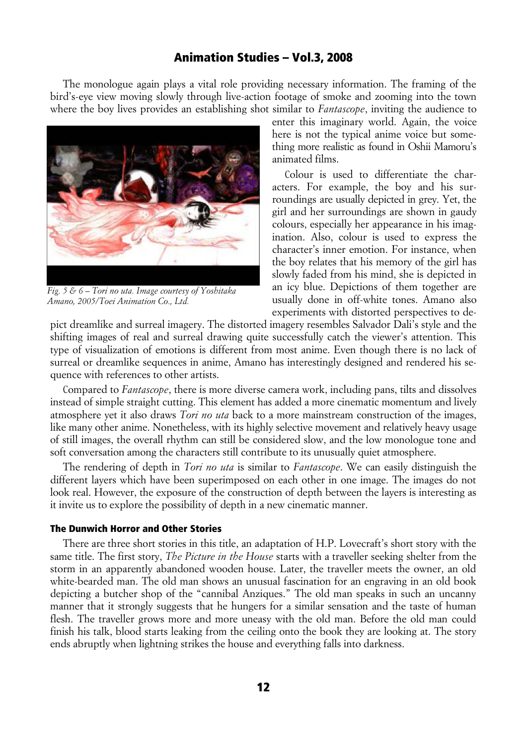The monologue again plays a vital role providing necessary information. The framing of the bird's-eye view moving slowly through live-action footage of smoke and zooming into the town where the boy lives provides an establishing shot similar to *Fantascope*, inviting the audience to



*Fig. 5 & 6 – Tori no uta. Image courtesy of Yoshitaka Amano, 2005/Toei Animation Co., Ltd.*

enter this imaginary world. Again, the voice here is not the typical anime voice but something more realistic as found in Oshii Mamoru's animated films.

Colour is used to differentiate the characters. For example, the boy and his surroundings are usually depicted in grey. Yet, the girl and her surroundings are shown in gaudy colours, especially her appearance in his imagination. Also, colour is used to express the character's inner emotion. For instance, when the boy relates that his memory of the girl has slowly faded from his mind, she is depicted in an icy blue. Depictions of them together are usually done in off-white tones. Amano also experiments with distorted perspectives to de-

pict dreamlike and surreal imagery. The distorted imagery resembles Salvador Dali's style and the shifting images of real and surreal drawing quite successfully catch the viewer's attention. This type of visualization of emotions is different from most anime. Even though there is no lack of surreal or dreamlike sequences in anime, Amano has interestingly designed and rendered his sequence with references to other artists.

Compared to *Fantascope*, there is more diverse camera work, including pans, tilts and dissolves instead of simple straight cutting. This element has added a more cinematic momentum and lively atmosphere yet it also draws *Tori no uta* back to a more mainstream construction of the images, like many other anime. Nonetheless, with its highly selective movement and relatively heavy usage of still images, the overall rhythm can still be considered slow, and the low monologue tone and soft conversation among the characters still contribute to its unusually quiet atmosphere.

The rendering of depth in *Tori no uta* is similar to *Fantascope*. We can easily distinguish the different layers which have been superimposed on each other in one image. The images do not look real. However, the exposure of the construction of depth between the layers is interesting as it invite us to explore the possibility of depth in a new cinematic manner.

### The Dunwich Horror and Other Stories

There are three short stories in this title, an adaptation of H.P. Lovecraft's short story with the same title. The first story, *The Picture in the House* starts with a traveller seeking shelter from the storm in an apparently abandoned wooden house. Later, the traveller meets the owner, an old white-bearded man. The old man shows an unusual fascination for an engraving in an old book depicting a butcher shop of the "cannibal Anziques." The old man speaks in such an uncanny manner that it strongly suggests that he hungers for a similar sensation and the taste of human flesh. The traveller grows more and more uneasy with the old man. Before the old man could finish his talk, blood starts leaking from the ceiling onto the book they are looking at. The story ends abruptly when lightning strikes the house and everything falls into darkness.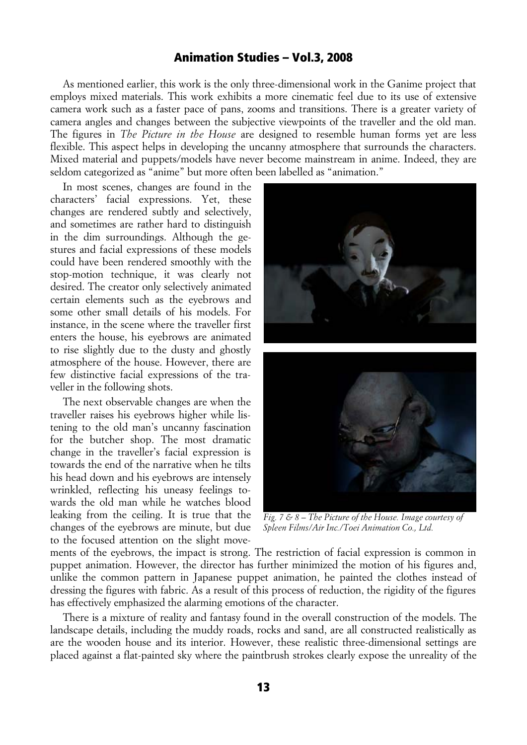As mentioned earlier, this work is the only three-dimensional work in the Ganime project that employs mixed materials. This work exhibits a more cinematic feel due to its use of extensive camera work such as a faster pace of pans, zooms and transitions. There is a greater variety of camera angles and changes between the subjective viewpoints of the traveller and the old man. The figures in *The Picture in the House* are designed to resemble human forms yet are less flexible. This aspect helps in developing the uncanny atmosphere that surrounds the characters. Mixed material and puppets/models have never become mainstream in anime. Indeed, they are seldom categorized as "anime" but more often been labelled as "animation."

In most scenes, changes are found in the characters' facial expressions. Yet, these changes are rendered subtly and selectively, and sometimes are rather hard to distinguish in the dim surroundings. Although the gestures and facial expressions of these models could have been rendered smoothly with the stop-motion technique, it was clearly not desired. The creator only selectively animated certain elements such as the eyebrows and some other small details of his models. For instance, in the scene where the traveller first enters the house, his eyebrows are animated to rise slightly due to the dusty and ghostly atmosphere of the house. However, there are few distinctive facial expressions of the traveller in the following shots.

The next observable changes are when the traveller raises his eyebrows higher while listening to the old man's uncanny fascination for the butcher shop. The most dramatic change in the traveller's facial expression is towards the end of the narrative when he tilts his head down and his eyebrows are intensely wrinkled, reflecting his uneasy feelings towards the old man while he watches blood leaking from the ceiling. It is true that the changes of the eyebrows are minute, but due to the focused attention on the slight move-



*Fig. 7 & 8 – The Picture of the House. Image courtesy of Spleen Films/Air Inc./Toei Animation Co., Ltd.*

ments of the eyebrows, the impact is strong. The restriction of facial expression is common in puppet animation. However, the director has further minimized the motion of his figures and, unlike the common pattern in Japanese puppet animation, he painted the clothes instead of dressing the figures with fabric. As a result of this process of reduction, the rigidity of the figures has effectively emphasized the alarming emotions of the character.

There is a mixture of reality and fantasy found in the overall construction of the models. The landscape details, including the muddy roads, rocks and sand, are all constructed realistically as are the wooden house and its interior. However, these realistic three-dimensional settings are placed against a flat-painted sky where the paintbrush strokes clearly expose the unreality of the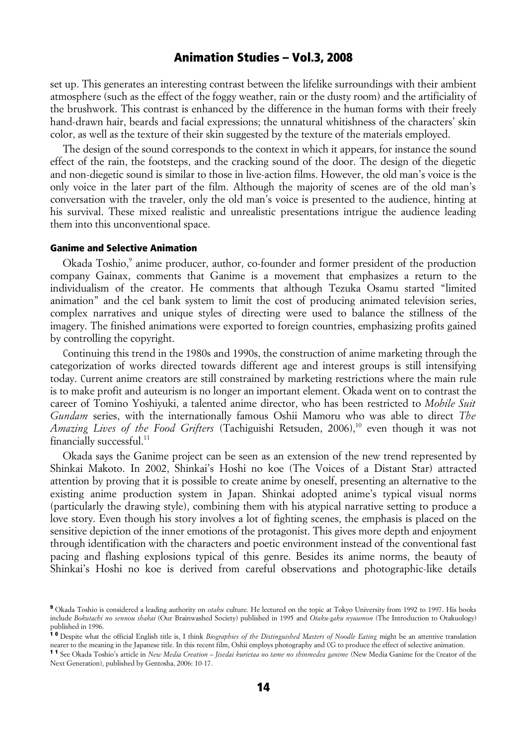set up. This generates an interesting contrast between the lifelike surroundings with their ambient atmosphere (such as the effect of the foggy weather, rain or the dusty room) and the artificiality of the brushwork. This contrast is enhanced by the difference in the human forms with their freely hand-drawn hair, beards and facial expressions; the unnatural whitishness of the characters' skin color, as well as the texture of their skin suggested by the texture of the materials employed.

The design of the sound corresponds to the context in which it appears, for instance the sound effect of the rain, the footsteps, and the cracking sound of the door. The design of the diegetic and non-diegetic sound is similar to those in live-action films. However, the old man's voice is the only voice in the later part of the film. Although the majority of scenes are of the old man's conversation with the traveler, only the old man's voice is presented to the audience, hinting at his survival. These mixed realistic and unrealistic presentations intrigue the audience leading them into this unconventional space.

#### Ganime and Selective Animation

Okada Toshio,<sup>9</sup> anime producer, author, co-founder and former president of the production company Gainax, comments that Ganime is a movement that emphasizes a return to the individualism of the creator. He comments that although Tezuka Osamu started "limited animation" and the cel bank system to limit the cost of producing animated television series, complex narratives and unique styles of directing were used to balance the stillness of the imagery. The finished animations were exported to foreign countries, emphasizing profits gained by controlling the copyright.

Continuing this trend in the 1980s and 1990s, the construction of anime marketing through the categorization of works directed towards different age and interest groups is still intensifying today. Current anime creators are still constrained by marketing restrictions where the main rule is to make profit and auteurism is no longer an important element. Okada went on to contrast the career of Tomino Yoshiyuki, a talented anime director, who has been restricted to *Mobile Suit Gundam* series, with the internationally famous Oshii Mamoru who was able to direct *The Amazing Lives of the Food Grifters* (Tachiguishi Retsuden, 2006),<sup>10</sup> even though it was not financially successful.<sup>11</sup>

Okada says the Ganime project can be seen as an extension of the new trend represented by Shinkai Makoto. In 2002, Shinkai's Hoshi no koe (The Voices of a Distant Star) attracted attention by proving that it is possible to create anime by oneself, presenting an alternative to the existing anime production system in Japan. Shinkai adopted anime's typical visual norms (particularly the drawing style), combining them with his atypical narrative setting to produce a love story. Even though his story involves a lot of fighting scenes, the emphasis is placed on the sensitive depiction of the inner emotions of the protagonist. This gives more depth and enjoyment through identification with the characters and poetic environment instead of the conventional fast pacing and flashing explosions typical of this genre. Besides its anime norms, the beauty of Shinkai's Hoshi no koe is derived from careful observations and photographic-like details

<sup>9</sup> Okada Toshio is considered a leading authority on *otaku* culture. He lectured on the topic at Tokyo University from 1992 to 1997. His books include *Bokutachi no sennou shakai* (Our Brainwashed Society) published in 1995 and *Otaku-gaku nyuumon* (The Introduction to Otakuology) published in 1996.

<sup>&</sup>lt;sup>10</sup> Despite what the official English title is, I think *Biographies of the Distinguished Masters of Noodle Eating* might be an attentive translation nearer to the meaning in the Japanese title. In this recent film, Oshii employs photography and CG to produce the effect of selective animation.

<sup>1 1</sup> See Okada Toshio's article in *New Media Creation – Jisedai kurietaa no tame no shinmedea ganime* (New Media Ganime for the Creator of the Next Generation), published by Gentosha, 2006: 10-17.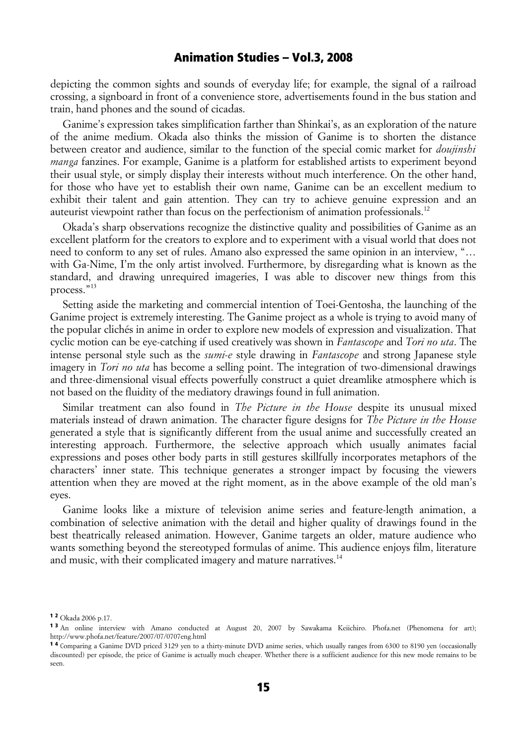depicting the common sights and sounds of everyday life; for example, the signal of a railroad crossing, a signboard in front of a convenience store, advertisements found in the bus station and train, hand phones and the sound of cicadas.

Ganime's expression takes simplification farther than Shinkai's, as an exploration of the nature of the anime medium. Okada also thinks the mission of Ganime is to shorten the distance between creator and audience, similar to the function of the special comic market for *doujinshi manga* fanzines. For example, Ganime is a platform for established artists to experiment beyond their usual style, or simply display their interests without much interference. On the other hand, for those who have yet to establish their own name, Ganime can be an excellent medium to exhibit their talent and gain attention. They can try to achieve genuine expression and an auteurist viewpoint rather than focus on the perfectionism of animation professionals.<sup>12</sup>

Okada's sharp observations recognize the distinctive quality and possibilities of Ganime as an excellent platform for the creators to explore and to experiment with a visual world that does not need to conform to any set of rules. Amano also expressed the same opinion in an interview, "... with Ga-Nime, I'm the only artist involved. Furthermore, by disregarding what is known as the standard, and drawing unrequired imageries, I was able to discover new things from this process."13

Setting aside the marketing and commercial intention of Toei-Gentosha, the launching of the Ganime project is extremely interesting. The Ganime project as a whole is trying to avoid many of the popular clichés in anime in order to explore new models of expression and visualization. That cyclic motion can be eye-catching if used creatively was shown in *Fantascope* and *Tori no uta*. The intense personal style such as the *sumi-e* style drawing in *Fantascope* and strong Japanese style imagery in *Tori no uta* has become a selling point. The integration of two-dimensional drawings and three-dimensional visual effects powerfully construct a quiet dreamlike atmosphere which is not based on the fluidity of the mediatory drawings found in full animation.

Similar treatment can also found in *The Picture in the House* despite its unusual mixed materials instead of drawn animation. The character figure designs for *The Picture in the House* generated a style that is significantly different from the usual anime and successfully created an interesting approach. Furthermore, the selective approach which usually animates facial expressions and poses other body parts in still gestures skillfully incorporates metaphors of the characters' inner state. This technique generates a stronger impact by focusing the viewers attention when they are moved at the right moment, as in the above example of the old man's eyes.

Ganime looks like a mixture of television anime series and feature-length animation, a combination of selective animation with the detail and higher quality of drawings found in the best theatrically released animation. However, Ganime targets an older, mature audience who wants something beyond the stereotyped formulas of anime. This audience enjoys film, literature and music, with their complicated imagery and mature narratives.<sup>14</sup>

<sup>1 2</sup> Okada 2006 p.17.

<sup>13</sup> An online interview with Amano conducted at August 20, 2007 by Sawakama Keiichiro. Phofa.net (Phenomena for art); http://www.phofa.net/feature/2007/07/0707eng.html

<sup>1 4</sup> Comparing a Ganime DVD priced 3129 yen to a thirty-minute DVD anime series, which usually ranges from 6300 to 8190 yen (occasionally discounted) per episode, the price of Ganime is actually much cheaper. Whether there is a sufficient audience for this new mode remains to be seen.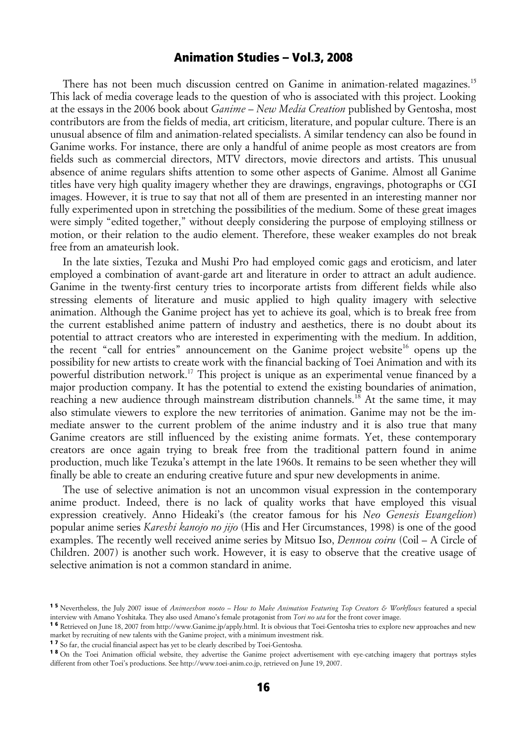There has not been much discussion centred on Ganime in animation-related magazines.<sup>15</sup> This lack of media coverage leads to the question of who is associated with this project. Looking at the essays in the 2006 book about *Ganime – New Media Creation* published by Gentosha, most contributors are from the fields of media, art criticism, literature, and popular culture. There is an unusual absence of film and animation-related specialists. A similar tendency can also be found in Ganime works. For instance, there are only a handful of anime people as most creators are from fields such as commercial directors, MTV directors, movie directors and artists. This unusual absence of anime regulars shifts attention to some other aspects of Ganime. Almost all Ganime titles have very high quality imagery whether they are drawings, engravings, photographs or CGI images. However, it is true to say that not all of them are presented in an interesting manner nor fully experimented upon in stretching the possibilities of the medium. Some of these great images were simply "edited together," without deeply considering the purpose of employing stillness or motion, or their relation to the audio element. Therefore, these weaker examples do not break free from an amateurish look.

In the late sixties, Tezuka and Mushi Pro had employed comic gags and eroticism, and later employed a combination of avant-garde art and literature in order to attract an adult audience. Ganime in the twenty-first century tries to incorporate artists from different fields while also stressing elements of literature and music applied to high quality imagery with selective animation. Although the Ganime project has yet to achieve its goal, which is to break free from the current established anime pattern of industry and aesthetics, there is no doubt about its potential to attract creators who are interested in experimenting with the medium. In addition, the recent "call for entries" announcement on the Ganime project website<sup>16</sup> opens up the possibility for new artists to create work with the financial backing of Toei Animation and with its powerful distribution network.17 This project is unique as an experimental venue financed by a major production company. It has the potential to extend the existing boundaries of animation, reaching a new audience through mainstream distribution channels.<sup>18</sup> At the same time, it may also stimulate viewers to explore the new territories of animation. Ganime may not be the immediate answer to the current problem of the anime industry and it is also true that many Ganime creators are still influenced by the existing anime formats. Yet, these contemporary creators are once again trying to break free from the traditional pattern found in anime production, much like Tezuka's attempt in the late 1960s. It remains to be seen whether they will finally be able to create an enduring creative future and spur new developments in anime.

The use of selective animation is not an uncommon visual expression in the contemporary anime product. Indeed, there is no lack of quality works that have employed this visual expression creatively. Anno Hideaki's (the creator famous for his *Neo Genesis Evangelion*) popular anime series *Kareshi kanojo no jijo* (His and Her Circumstances, 1998) is one of the good examples. The recently well received anime series by Mitsuo Iso, *Dennou coiru* (Coil – A Circle of Children. 2007) is another such work. However, it is easy to observe that the creative usage of selective animation is not a common standard in anime.

<sup>15</sup> Nevertheless, the July 2007 issue of *Animeeshon nooto – How to Make Animation Featuring Top Creators & Workflows* featured a special interview with Amano Yoshitaka. They also used Amano's female protagonist from *Tori no uta* for the front cover image.

<sup>1 6</sup> Retrieved on June 18, 2007 from http://www.Ganime.jp/apply.html. It is obvious that Toei-Gentosha tries to explore new approaches and new market by recruiting of new talents with the Ganime project, with a minimum investment risk.

<sup>1 7</sup> So far, the crucial financial aspect has yet to be clearly described by Toei-Gentosha.

<sup>&</sup>lt;sup>18</sup> On the Toei Animation official website, they advertise the Ganime project advertisement with eve-catching imagery that portrays styles different from other Toei's productions. See http://www.toei-anim.co.jp, retrieved on June 19, 2007.